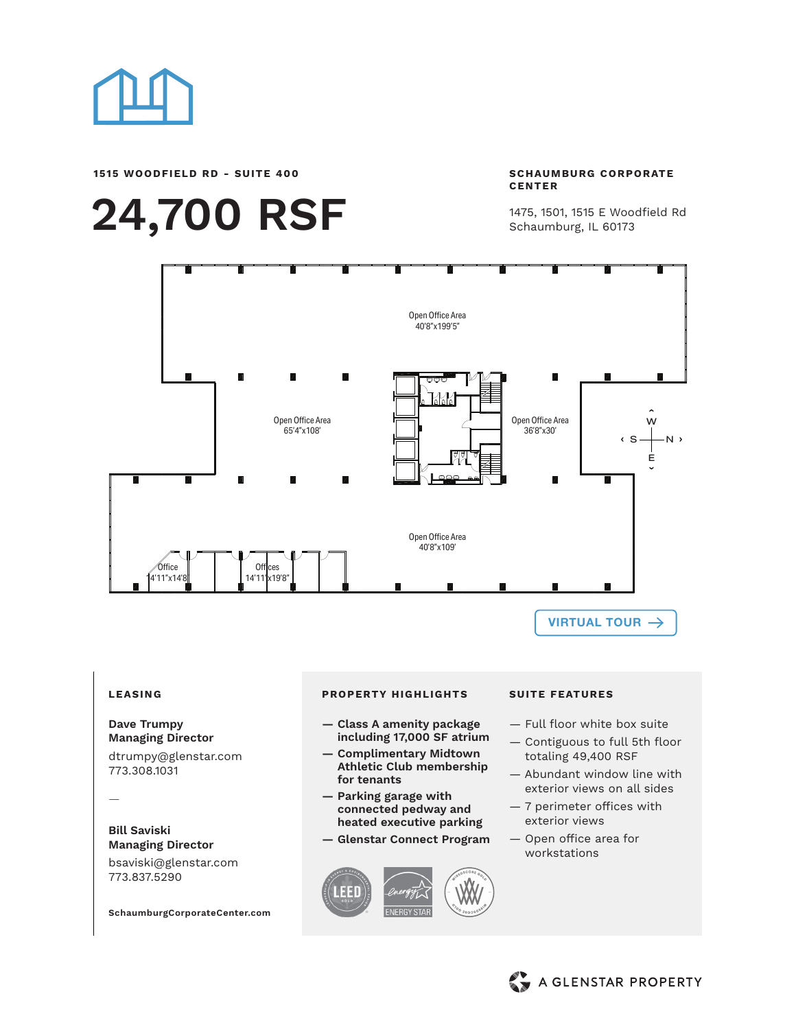

**1515 WOODFIELD RD - SUITE 400**

# **24,700 RSF**

**SCHAUMBURG CORPORATE CENTER**

1475, 1501, 1515 E Woodfield Rd Schaumburg, IL 60173



## **LEASING**

#### **Dave Trumpy Managing Director**

dtrumpy@glenstar.com 773.308.1031

—

#### **Bill Saviski Managing Director**

bsaviski@glenstar.com 773.837.5290

**SchaumburgCorporateCenter.com**

#### **PROPERTY HIGHLIGHTS SUITE FEATURES**

- **— Class A amenity package including 17,000 SF atrium**
- **— Complimentary Midtown Athletic Club membership for tenants**
- **— Parking garage with connected pedway and heated executive parking**
- **— Glenstar Connect Program**



- Full floor white box suite
- Contiguous to full 5th floor totaling 49,400 RSF
- Abundant window line with exterior views on all sides
- 7 perimeter offices with exterior views
- Open office area for workstations

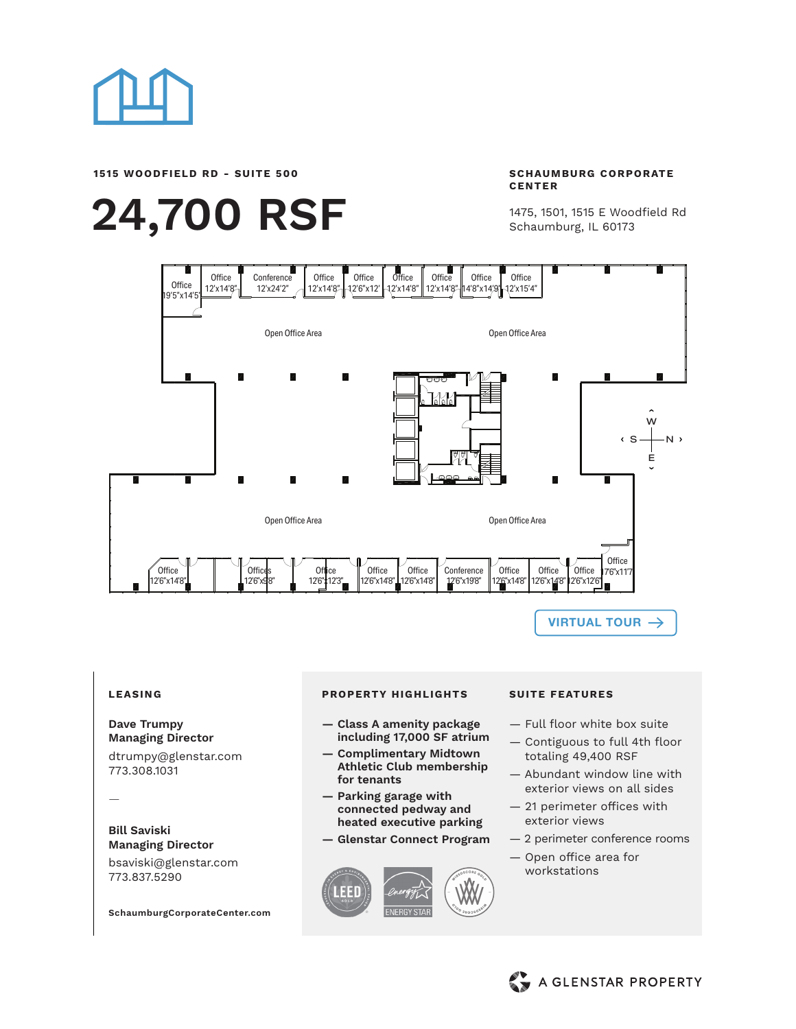

**1515 WOODFIELD RD - SUITE 500**

# **24,700 RSF**

**SCHAUMBURG CORPORATE CENTER**

1475, 1501, 1515 E Woodfield Rd Schaumburg, IL 60173



**[VIRTUAL TOUR](https://vimeo.com/489963444)**

## **LEASING**

#### **Dave Trumpy Managing Director**

dtrumpy@glenstar.com 773.308.1031

—

### **Bill Saviski Managing Director**

bsaviski@glenstar.com 773.837.5290

**SchaumburgCorporateCenter.com**

#### **PROPERTY HIGHLIGHTS SUITE FEATURES**

- **— Class A amenity package including 17,000 SF atrium**
- **— Complimentary Midtown Athletic Club membership for tenants**
- **— Parking garage with connected pedway and heated executive parking**
- **— Glenstar Connect Program**



- Full floor white box suite
- Contiguous to full 4th floor totaling 49,400 RSF
- Abundant window line with exterior views on all sides
- 21 perimeter offices with exterior views
- 2 perimeter conference rooms
- Open office area for workstations